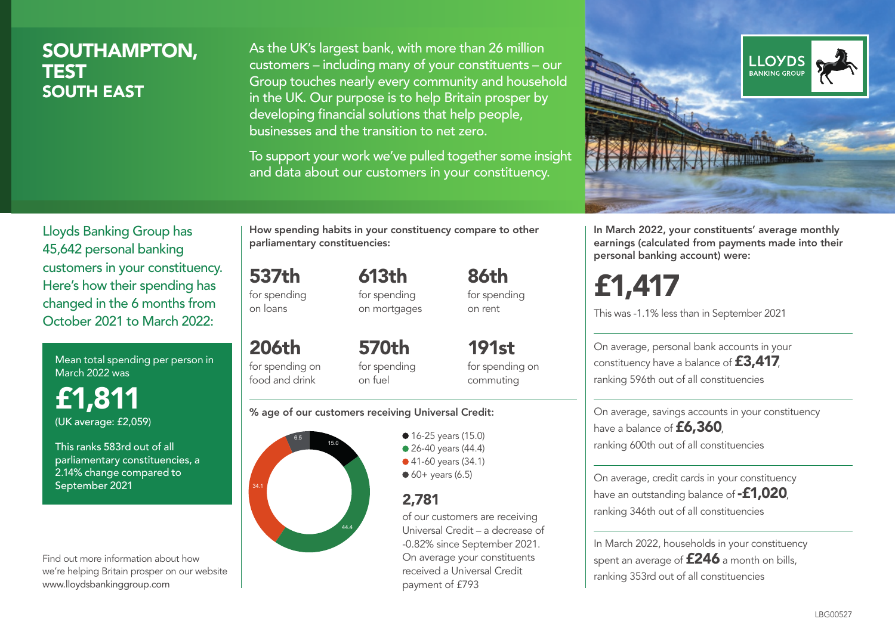# SOUTHAMPTON, **TEST** SOUTH EAST

As the UK's largest bank, with more than 26 million customers – including many of your constituents – our Group touches nearly every community and household in the UK. Our purpose is to help Britain prosper by developing financial solutions that help people, businesses and the transition to net zero.

To support your work we've pulled together some insight and data about our customers in your constituency.



Lloyds Banking Group has 45,642 personal banking customers in your constituency. Here's how their spending has changed in the 6 months from October 2021 to March 2022:

Mean total spending per person in March 2022 was

£1,811 (UK average: £2,059)

This ranks 583rd out of all parliamentary constituencies, a 2.14% change compared to September 2021

Find out more information about how we're helping Britain prosper on our website www.lloydsbankinggroup.com

How spending habits in your constituency compare to other parliamentary constituencies:

537th for spending 613th

on loans

206th

for spending on mortgages 86th for spending on rent

for spending on food and drink 570th for spending on fuel

191st for spending on commuting

#### % age of our customers receiving Universal Credit:



• 16-25 years (15.0) • 26-40 years (44.4) ● 41-60 years (34.1)  $60+$  years (6.5)

# 2,781

of our customers are receiving Universal Credit – a decrease of -0.82% since September 2021. On average your constituents received a Universal Credit payment of £793

In March 2022, your constituents' average monthly earnings (calculated from payments made into their personal banking account) were:

£1,417

This was -1.1% less than in September 2021

On average, personal bank accounts in your constituency have a balance of £3,417, ranking 596th out of all constituencies

On average, savings accounts in your constituency have a balance of **£6,360**, ranking 600th out of all constituencies

On average, credit cards in your constituency have an outstanding balance of **-£1,020**, ranking 346th out of all constituencies

In March 2022, households in your constituency spent an average of £246 a month on bills, ranking 353rd out of all constituencies